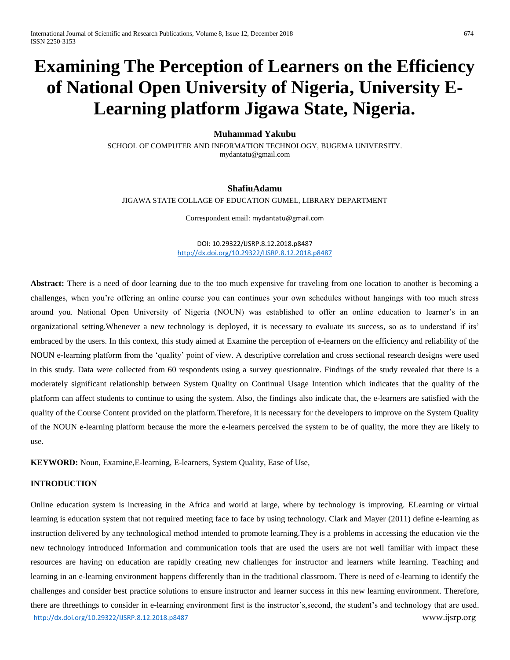# **Examining The Perception of Learners on the Efficiency of National Open University of Nigeria, University E-Learning platform Jigawa State, Nigeria.**

## **Muhammad Yakubu**

SCHOOL OF COMPUTER AND INFORMATION TECHNOLOGY, BUGEMA UNIVERSITY. [mydantatu@gmail.com](mailto:mydantatu@gmail.com)

# **ShafiuAdamu**

JIGAWA STATE COLLAGE OF EDUCATION GUMEL, LIBRARY DEPARTMENT

Correspondent email: [mydantatu@gmail.com](mailto:mydantatu@gmail.com)

DOI: 10.29322/IJSRP.8.12.2018.p8487 <http://dx.doi.org/10.29322/IJSRP.8.12.2018.p8487>

Abstract: There is a need of door learning due to the too much expensive for traveling from one location to another is becoming a challenges, when you're offering an online course you can continues your own schedules without hangings with too much stress around you. National Open University of Nigeria (NOUN) was established to offer an online education to learner's in an organizational setting.Whenever a new technology is deployed, it is necessary to evaluate its success, so as to understand if its' embraced by the users. In this context, this study aimed at Examine the perception of e-learners on the efficiency and reliability of the NOUN e-learning platform from the 'quality' point of view. A descriptive correlation and cross sectional research designs were used in this study. Data were collected from 60 respondents using a survey questionnaire. Findings of the study revealed that there is a moderately significant relationship between System Quality on Continual Usage Intention which indicates that the quality of the platform can affect students to continue to using the system. Also, the findings also indicate that, the e-learners are satisfied with the quality of the Course Content provided on the platform.Therefore, it is necessary for the developers to improve on the System Quality of the NOUN e-learning platform because the more the e-learners perceived the system to be of quality, the more they are likely to use.

**KEYWORD:** Noun, Examine,E-learning, E-learners, System Quality, Ease of Use,

## **INTRODUCTION**

<http://dx.doi.org/10.29322/IJSRP.8.12.2018.p8487> www.ijsrp.org Online education system is increasing in the Africa and world at large, where by technology is improving. ELearning or virtual learning is education system that not required meeting face to face by using technology. Clark and Mayer (2011) define e-learning as instruction delivered by any technological method intended to promote learning.They is a problems in accessing the education vie the new technology introduced Information and communication tools that are used the users are not well familiar with impact these resources are having on education are rapidly creating new challenges for instructor and learners while learning. Teaching and learning in an e-learning environment happens differently than in the traditional classroom. There is need of e-learning to identify the challenges and consider best practice solutions to ensure instructor and learner success in this new learning environment. Therefore, there are threethings to consider in e-learning environment first is the instructor's,second, the student's and technology that are used.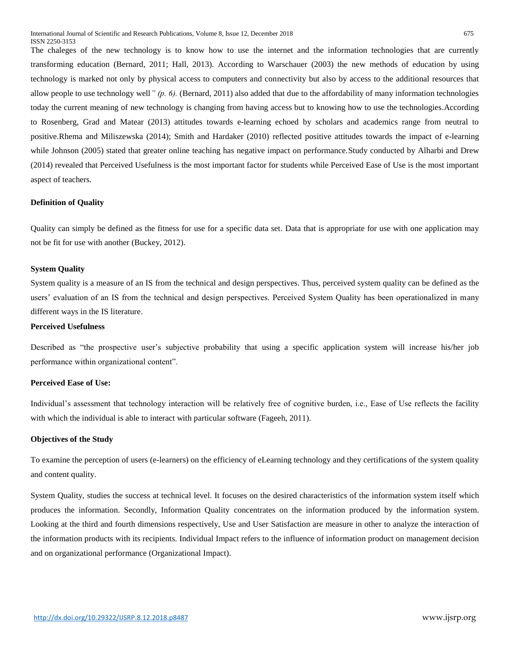The chaleges of the new technology is to know how to use the internet and the information technologies that are currently transforming education (Bernard, 2011; Hall, 2013). According to Warschauer (2003) the new methods of education by using technology is marked not only by physical access to computers and connectivity but also by access to the additional resources that allow people to use technology well*" (p. 6).* (Bernard, 2011) also added that due to the affordability of many information technologies today the current meaning of new technology is changing from having access but to knowing how to use the technologies.According to Rosenberg, Grad and Matear (2013) attitudes towards e-learning echoed by scholars and academics range from neutral to positive.Rhema and Miliszewska (2014); Smith and Hardaker (2010) reflected positive attitudes towards the impact of e-learning while Johnson (2005) stated that greater online teaching has negative impact on performance. Study conducted by Alharbi and Drew (2014) revealed that Perceived Usefulness is the most important factor for students while Perceived Ease of Use is the most important aspect of teachers.

# **Definition of Quality**

Quality can simply be defined as the fitness for use for a specific data set. Data that is appropriate for use with one application may not be fit for use with another (Buckey, 2012).

# **System Quality**

System quality is a measure of an IS from the technical and design perspectives. Thus, perceived system quality can be defined as the users' evaluation of an IS from the technical and design perspectives. Perceived System Quality has been operationalized in many different ways in the IS literature.

# **Perceived Usefulness**

Described as "the prospective user's subjective probability that using a specific application system will increase his/her job performance within organizational content".

## **Perceived Ease of Use:**

Individual's assessment that technology interaction will be relatively free of cognitive burden, i.e., Ease of Use reflects the facility with which the individual is able to interact with particular software (Fageeh, 2011).

## **Objectives of the Study**

To examine the perception of users (e-learners) on the efficiency of eLearning technology and they certifications of the system quality and content quality.

System Quality, studies the success at technical level. It focuses on the desired characteristics of the information system itself which produces the information. Secondly, Information Quality concentrates on the information produced by the information system. Looking at the third and fourth dimensions respectively, Use and User Satisfaction are measure in other to analyze the interaction of the information products with its recipients. Individual Impact refers to the influence of information product on management decision and on organizational performance (Organizational Impact).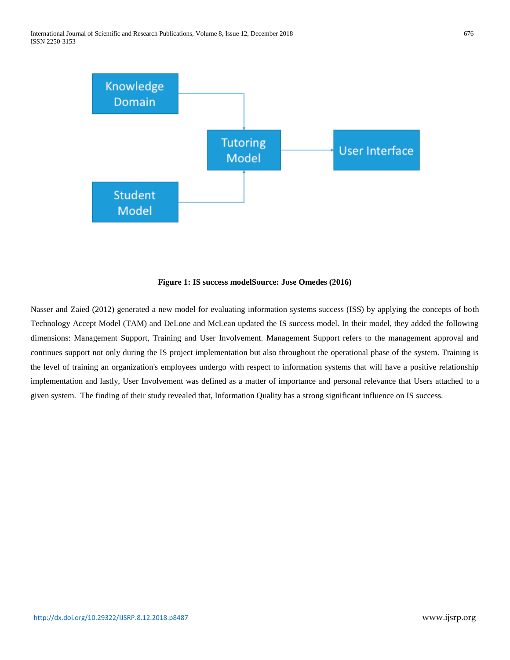

# **Figure 1: IS success modelSource: Jose Omedes (2016)**

Nasser and Zaied (2012) generated a new model for evaluating information systems success (ISS) by applying the concepts of both Technology Accept Model (TAM) and DeLone and McLean updated the IS success model. In their model, they added the following dimensions: Management Support, Training and User Involvement. Management Support refers to the management approval and continues support not only during the IS project implementation but also throughout the operational phase of the system. Training is the level of training an organization's employees undergo with respect to information systems that will have a positive relationship implementation and lastly, User Involvement was defined as a matter of importance and personal relevance that Users attached to a given system. The finding of their study revealed that, Information Quality has a strong significant influence on IS success.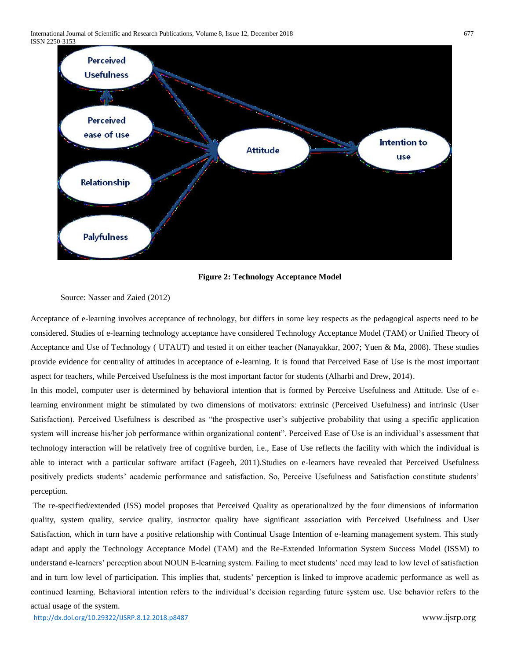

**Figure 2: Technology Acceptance Model**

## Source: Nasser and Zaied (2012)

Acceptance of e-learning involves acceptance of technology, but differs in some key respects as the pedagogical aspects need to be considered. Studies of e-learning technology acceptance have considered Technology Acceptance Model (TAM) or Unified Theory of Acceptance and Use of Technology ( UTAUT) and tested it on either teacher (Nanayakkar, 2007; Yuen & Ma, 2008). These studies provide evidence for centrality of attitudes in acceptance of e-learning. It is found that Perceived Ease of Use is the most important aspect for teachers, while Perceived Usefulness is the most important factor for students (Alharbi and Drew, 2014).

In this model, computer user is determined by behavioral intention that is formed by Perceive Usefulness and Attitude. Use of elearning environment might be stimulated by two dimensions of motivators: extrinsic (Perceived Usefulness) and intrinsic (User Satisfaction). Perceived Usefulness is described as "the prospective user's subjective probability that using a specific application system will increase his/her job performance within organizational content". Perceived Ease of Use is an individual's assessment that technology interaction will be relatively free of cognitive burden, i.e., Ease of Use reflects the facility with which the individual is able to interact with a particular software artifact (Fageeh, 2011).Studies on e-learners have revealed that Perceived Usefulness positively predicts students' academic performance and satisfaction. So, Perceive Usefulness and Satisfaction constitute students' perception.

The re-specified/extended (ISS) model proposes that Perceived Quality as operationalized by the four dimensions of information quality, system quality, service quality, instructor quality have significant association with Perceived Usefulness and User Satisfaction, which in turn have a positive relationship with Continual Usage Intention of e-learning management system. This study adapt and apply the Technology Acceptance Model (TAM) and the Re-Extended Information System Success Model (ISSM) to understand e-learners' perception about NOUN E-learning system. Failing to meet students' need may lead to low level of satisfaction and in turn low level of participation. This implies that, students' perception is linked to improve academic performance as well as continued learning. Behavioral intention refers to the individual's decision regarding future system use. Use behavior refers to the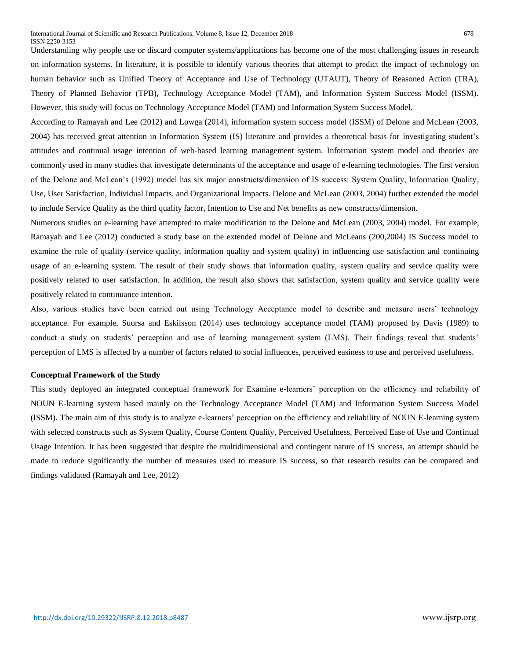Understanding why people use or discard computer systems/applications has become one of the most challenging issues in research on information systems. In literature, it is possible to identify various theories that attempt to predict the impact of technology on human behavior such as Unified Theory of Acceptance and Use of Technology (UTAUT), Theory of Reasoned Action (TRA), Theory of Planned Behavior (TPB), Technology Acceptance Model (TAM), and Information System Success Model (ISSM). However, this study will focus on Technology Acceptance Model (TAM) and Information System Success Model.

According to Ramayah and Lee (2012) and Lowga (2014), information system success model (ISSM) of Delone and McLean (2003, 2004) has received great attention in Information System (IS) literature and provides a theoretical basis for investigating student's attitudes and continual usage intention of web-based learning management system. Information system model and theories are commonly used in many studies that investigate determinants of the acceptance and usage of e-learning technologies. The first version of the Delone and McLean's (1992) model has six major constructs/dimension of IS success: System Quality, Information Quality, Use, User Satisfaction, Individual Impacts, and Organizational Impacts. Delone and McLean (2003, 2004) further extended the model to include Service Quality as the third quality factor, Intention to Use and Net benefits as new constructs/dimension.

Numerous studies on e-learning have attempted to make modification to the Delone and McLean (2003, 2004) model. For example, Ramayah and Lee (2012) conducted a study base on the extended model of Delone and McLeans (200,2004) IS Success model to examine the role of quality (service quality, information quality and system quality) in influencing use satisfaction and continuing usage of an e-learning system. The result of their study shows that information quality, system quality and service quality were positively related to user satisfaction. In addition, the result also shows that satisfaction, system quality and service quality were positively related to continuance intention.

Also, various studies have been carried out using Technology Acceptance model to describe and measure users' technology acceptance. For example, Suorsa and Eskilsson (2014) uses technology acceptance model (TAM) proposed by Davis (1989) to conduct a study on students' perception and use of learning management system (LMS). Their findings reveal that students' perception of LMS is affected by a number of factors related to social influences, perceived easiness to use and perceived usefulness.

## **Conceptual Framework of the Study**

This study deployed an integrated conceptual framework for Examine e-learners' perception on the efficiency and reliability of NOUN E-learning system based mainly on the Technology Acceptance Model (TAM) and Information System Success Model (ISSM). The main aim of this study is to analyze e-learners' perception on the efficiency and reliability of NOUN E-learning system with selected constructs such as System Quality, Course Content Quality, Perceived Usefulness, Perceived Ease of Use and Continual Usage Intention. It has been suggested that despite the multidimensional and contingent nature of IS success, an attempt should be made to reduce significantly the number of measures used to measure IS success, so that research results can be compared and findings validated (Ramayah and Lee, 2012)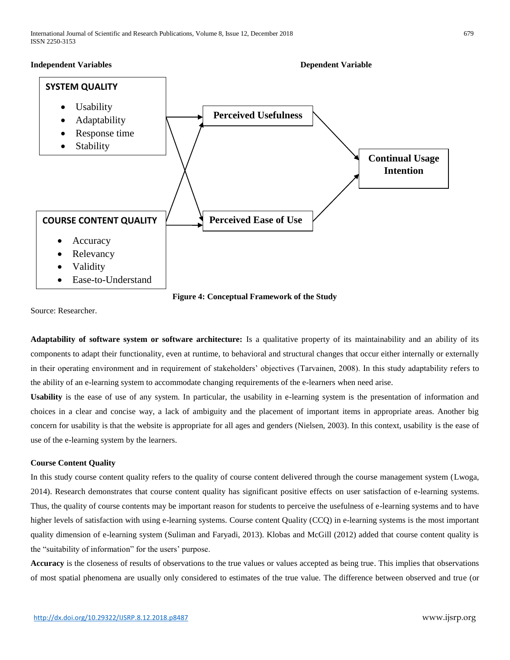





Source: Researcher.

**Adaptability of software system or software architecture:** Is a qualitative property of its maintainability and an ability of its components to adapt their functionality, even at runtime, to behavioral and structural changes that occur either internally or externally in their operating environment and in requirement of stakeholders' objectives (Tarvainen, 2008). In this study adaptability refers to the ability of an e-learning system to accommodate changing requirements of the e-learners when need arise.

**Usability** is the ease of use of any system. In particular, the usability in e-learning system is the presentation of information and choices in a clear and concise way, a lack of ambiguity and the placement of important items in appropriate areas. Another big concern for usability is that the website is appropriate for all ages and genders (Nielsen, 2003). In this context, usability is the ease of use of the e-learning system by the learners.

# **Course Content Quality**

In this study course content quality refers to the quality of course content delivered through the course management system (Lwoga, 2014). Research demonstrates that course content quality has significant positive effects on user satisfaction of e-learning systems. Thus, the quality of course contents may be important reason for students to perceive the usefulness of e-learning systems and to have higher levels of satisfaction with using e-learning systems. Course content Quality (CCQ) in e-learning systems is the most important quality dimension of e-learning system (Suliman and Faryadi, 2013). Klobas and McGill (2012) added that course content quality is the "suitability of information" for the users' purpose.

**Accuracy** is the closeness of results of observations to the true values or values accepted as being true. This implies that observations of most spatial phenomena are usually only considered to estimates of the true value. The difference between observed and true (or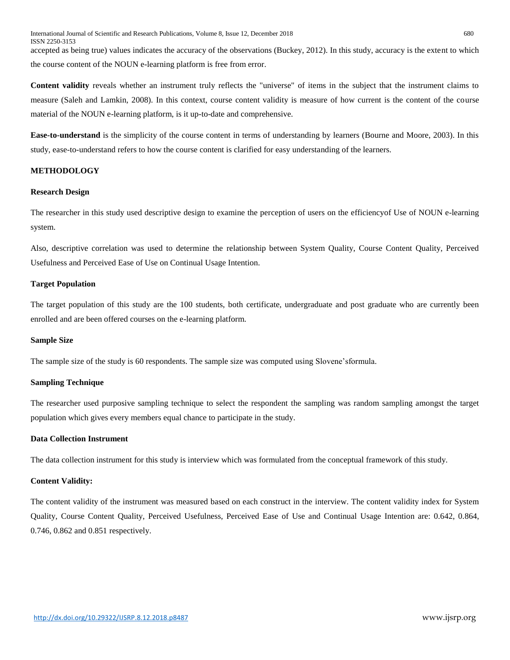International Journal of Scientific and Research Publications, Volume 8, Issue 12, December 2018 680 ISSN 2250-3153 accepted as being true) values indicates the accuracy of the observations (Buckey, 2012). In this study, accuracy is the extent to which the course content of the NOUN e-learning platform is free from error.

**Content validity** reveals whether an instrument truly reflects the "universe" of items in the subject that the instrument claims to measure (Saleh and Lamkin, 2008). In this context, course content validity is measure of how current is the content of the course material of the NOUN e-learning platform, is it up-to-date and comprehensive.

**Ease-to-understand** is the simplicity of the course content in terms of understanding by learners (Bourne and Moore, 2003). In this study, ease-to-understand refers to how the course content is clarified for easy understanding of the learners.

# **METHODOLOGY**

# **Research Design**

The researcher in this study used descriptive design to examine the perception of users on the efficiencyof Use of NOUN e-learning system.

Also, descriptive correlation was used to determine the relationship between System Quality, Course Content Quality, Perceived Usefulness and Perceived Ease of Use on Continual Usage Intention.

## **Target Population**

The target population of this study are the 100 students, both certificate, undergraduate and post graduate who are currently been enrolled and are been offered courses on the e-learning platform.

### **Sample Size**

The sample size of the study is 60 respondents. The sample size was computed using Slovene'sformula.

# **Sampling Technique**

The researcher used purposive sampling technique to select the respondent the sampling was random sampling amongst the target population which gives every members equal chance to participate in the study.

# **Data Collection Instrument**

The data collection instrument for this study is interview which was formulated from the conceptual framework of this study.

# **Content Validity:**

The content validity of the instrument was measured based on each construct in the interview. The content validity index for System Quality, Course Content Quality, Perceived Usefulness, Perceived Ease of Use and Continual Usage Intention are: 0.642, 0.864, 0.746, 0.862 and 0.851 respectively.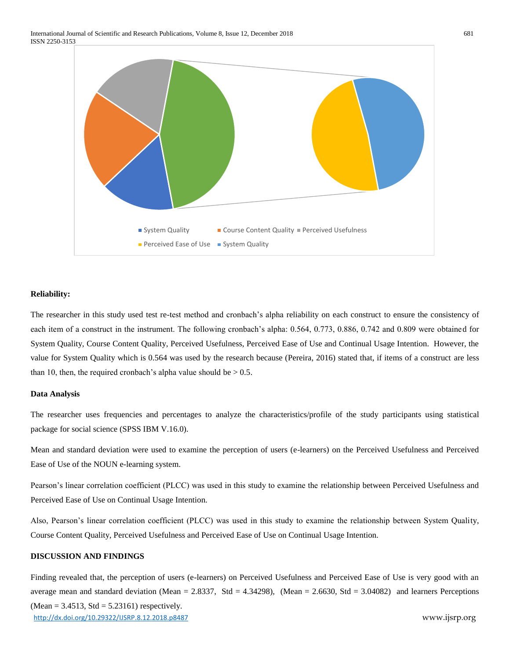

#### **Reliability:**

The researcher in this study used test re-test method and cronbach's alpha reliability on each construct to ensure the consistency of each item of a construct in the instrument. The following cronbach's alpha: 0.564, 0.773, 0.886, 0.742 and 0.809 were obtained for System Quality, Course Content Quality, Perceived Usefulness, Perceived Ease of Use and Continual Usage Intention. However, the value for System Quality which is 0.564 was used by the research because (Pereira, 2016) stated that, if items of a construct are less than 10, then, the required cronbach's alpha value should be  $> 0.5$ .

## **Data Analysis**

The researcher uses frequencies and percentages to analyze the characteristics/profile of the study participants using statistical package for social science (SPSS IBM V.16.0).

Mean and standard deviation were used to examine the perception of users (e-learners) on the Perceived Usefulness and Perceived Ease of Use of the NOUN e-learning system.

Pearson's linear correlation coefficient (PLCC) was used in this study to examine the relationship between Perceived Usefulness and Perceived Ease of Use on Continual Usage Intention.

Also, Pearson's linear correlation coefficient (PLCC) was used in this study to examine the relationship between System Quality, Course Content Quality, Perceived Usefulness and Perceived Ease of Use on Continual Usage Intention.

## **DISCUSSION AND FINDINGS**

<http://dx.doi.org/10.29322/IJSRP.8.12.2018.p8487> www.ijsrp.org Finding revealed that, the perception of users (e-learners) on Perceived Usefulness and Perceived Ease of Use is very good with an average mean and standard deviation (Mean = 2.8337, Std = 4.34298), (Mean = 2.6630, Std = 3.04082) and learners Perceptions  $(Mean = 3.4513, Std = 5.23161)$  respectively.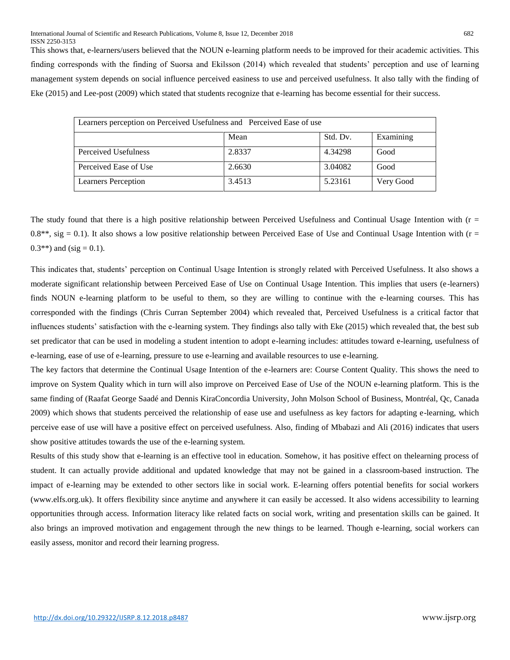This shows that, e-learners/users believed that the NOUN e-learning platform needs to be improved for their academic activities. This finding corresponds with the finding of Suorsa and Ekilsson (2014) which revealed that students' perception and use of learning management system depends on social influence perceived easiness to use and perceived usefulness. It also tally with the finding of Eke (2015) and Lee-post (2009) which stated that students recognize that e-learning has become essential for their success.

| Learners perception on Perceived Usefulness and Perceived Ease of use |        |          |           |
|-----------------------------------------------------------------------|--------|----------|-----------|
|                                                                       | Mean   | Std. Dv. | Examining |
| Perceived Usefulness                                                  | 2.8337 | 4.34298  | Good      |
| Perceived Ease of Use                                                 | 2.6630 | 3.04082  | Good      |
| <b>Learners Perception</b>                                            | 3.4513 | 5.23161  | Very Good |

The study found that there is a high positive relationship between Perceived Usefulness and Continual Usage Intention with  $(r =$  $0.8**$ , sig = 0.1). It also shows a low positive relationship between Perceived Ease of Use and Continual Usage Intention with ( $r =$ 0.3\*\*) and (sig = 0.1).

This indicates that, students' perception on Continual Usage Intention is strongly related with Perceived Usefulness. It also shows a moderate significant relationship between Perceived Ease of Use on Continual Usage Intention. This implies that users (e-learners) finds NOUN e-learning platform to be useful to them, so they are willing to continue with the e-learning courses. This has corresponded with the findings (Chris Curran September 2004) which revealed that, Perceived Usefulness is a critical factor that influences students' satisfaction with the e-learning system. They findings also tally with Eke (2015) which revealed that, the best sub set predicator that can be used in modeling a student intention to adopt e-learning includes: attitudes toward e-learning, usefulness of e-learning, ease of use of e-learning, pressure to use e-learning and available resources to use e-learning.

The key factors that determine the Continual Usage Intention of the e-learners are: Course Content Quality. This shows the need to improve on System Quality which in turn will also improve on Perceived Ease of Use of the NOUN e-learning platform. This is the same finding of (Raafat George Saadé and Dennis KiraConcordia University, John Molson School of Business, Montréal, Qc, Canada 2009) which shows that students perceived the relationship of ease use and usefulness as key factors for adapting e-learning, which perceive ease of use will have a positive effect on perceived usefulness. Also, finding of Mbabazi and Ali (2016) indicates that users show positive attitudes towards the use of the e-learning system.

Results of this study show that e-learning is an effective tool in education. Somehow, it has positive effect on thelearning process of student. It can actually provide additional and updated knowledge that may not be gained in a classroom-based instruction. The impact of e-learning may be extended to other sectors like in social work. E-learning offers potential benefits for social workers (www.elfs.org.uk). It offers flexibility since anytime and anywhere it can easily be accessed. It also widens accessibility to learning opportunities through access. Information literacy like related facts on social work, writing and presentation skills can be gained. It also brings an improved motivation and engagement through the new things to be learned. Though e-learning, social workers can easily assess, monitor and record their learning progress.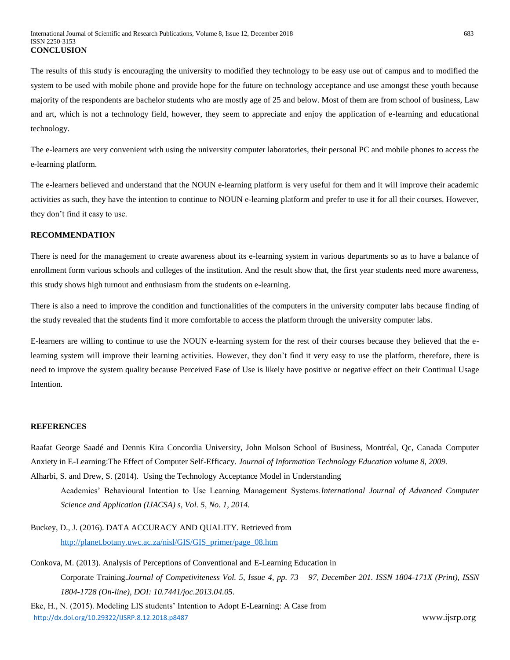The results of this study is encouraging the university to modified they technology to be easy use out of campus and to modified the system to be used with mobile phone and provide hope for the future on technology acceptance and use amongst these youth because majority of the respondents are bachelor students who are mostly age of 25 and below. Most of them are from school of business, Law and art, which is not a technology field, however, they seem to appreciate and enjoy the application of e-learning and educational technology.

The e-learners are very convenient with using the university computer laboratories, their personal PC and mobile phones to access the e-learning platform.

The e-learners believed and understand that the NOUN e-learning platform is very useful for them and it will improve their academic activities as such, they have the intention to continue to NOUN e-learning platform and prefer to use it for all their courses. However, they don't find it easy to use.

## **RECOMMENDATION**

There is need for the management to create awareness about its e-learning system in various departments so as to have a balance of enrollment form various schools and colleges of the institution. And the result show that, the first year students need more awareness, this study shows high turnout and enthusiasm from the students on e-learning.

There is also a need to improve the condition and functionalities of the computers in the university computer labs because finding of the study revealed that the students find it more comfortable to access the platform through the university computer labs.

E-learners are willing to continue to use the NOUN e-learning system for the rest of their courses because they believed that the elearning system will improve their learning activities. However, they don't find it very easy to use the platform, therefore, there is need to improve the system quality because Perceived Ease of Use is likely have positive or negative effect on their Continual Usage Intention.

# **REFERENCES**

Raafat George Saadé and Dennis Kira Concordia University, John Molson School of Business, Montréal, Qc, Canada Computer Anxiety in E-Learning:The Effect of Computer Self-Efficacy. *Journal of Information Technology Education volume 8, 2009.* Alharbi, S. and Drew, S. (2014). Using the Technology Acceptance Model in Understanding

Academics' Behavioural Intention to Use Learning Management Systems.*International Journal of Advanced Computer* 

*Science and Application (IJACSA) s, Vol. 5, No. 1, 2014.*

- Buckey, D., J. (2016). DATA ACCURACY AND QUALITY. Retrieved from [http://planet.botany.uwc.ac.za/nisl/GIS/GIS\\_primer/page\\_08.htm](http://planet.botany.uwc.ac.za/nisl/GIS/GIS_primer/page_08.htm)
- Conkova, M. (2013). Analysis of Perceptions of Conventional and E-Learning Education in Corporate Training.*Journal of Competiviteness Vol. 5, Issue 4, pp. 73 – 97, December 201. ISSN 1804-171X (Print), ISSN 1804-1728 (On-line), DOI: 10.7441/joc.2013.04.05.*

<http://dx.doi.org/10.29322/IJSRP.8.12.2018.p8487> www.ijsrp.org Eke, H., N. (2015). Modeling LIS students' Intention to Adopt E-Learning: A Case from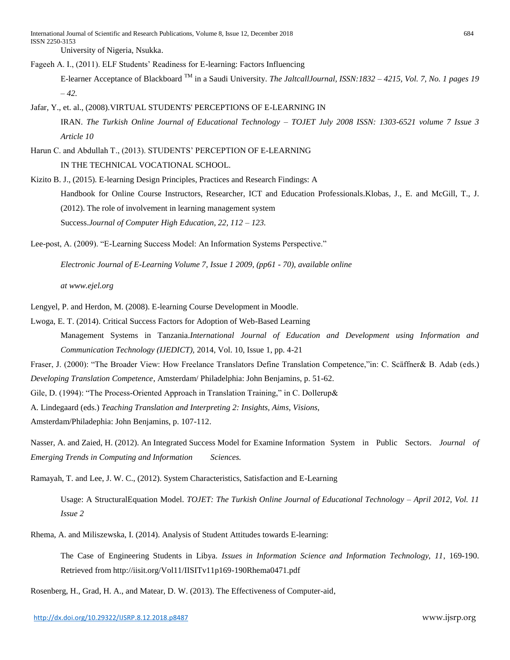Fageeh A. I., (2011). ELF Students' Readiness for E-learning: Factors Influencing E-learner Acceptance of Blackboard TM in a Saudi University. *The JaltcallJournal, ISSN:1832 – 4215, Vol. 7, No. 1 pages 19* 

Jafar, Y., et. al., (2008).VIRTUAL STUDENTS' PERCEPTIONS OF E-LEARNING IN IRAN. *The Turkish Online Journal of Educational Technology – TOJET July 2008 ISSN: 1303-6521 volume 7 Issue 3 Article 10*

Harun C. and Abdullah T., (2013). STUDENTS' PERCEPTION OF E-LEARNING IN THE TECHNICAL VOCATIONAL SCHOOL.

Kizito B. J., (2015). E-learning Design Principles, Practices and Research Findings: A Handbook for Online Course Instructors, Researcher, ICT and Education Professionals.Klobas, J., E. and McGill, T., J. (2012). The role of involvement in learning management system Success.*Journal of Computer High Education, 22, 112 – 123.*

Lee-post, A. (2009). "E-Learning Success Model: An Information Systems Perspective."

*Electronic Journal of E-Learning Volume 7, Issue 1 2009, (pp61 - 70), available online*

*at www.ejel.org*

*– 42.*

- Lengyel, P. and Herdon, M. (2008). E-learning Course Development in Moodle.
- Lwoga, E. T. (2014). Critical Success Factors for Adoption of Web-Based Learning

Management Systems in Tanzania.*International Journal of Education and Development using Information and Communication Technology (IJEDICT),* 2014, Vol. 10, Issue 1, pp. 4-21

Fraser, J. (2000): "The Broader View: How Freelance Translators Define Translation Competence,"in: C. Scäffner& B. Adab (eds.) *Developing Translation Competence*, Amsterdam/ Philadelphia: John Benjamins, p. 51-62.

Gile, D. (1994): "The Process-Oriented Approach in Translation Training," in C. Dollerup&

A. Lindegaard (eds.) *Teaching Translation and Interpreting 2: Insights, Aims, Visions*,

Amsterdam/Philadephia: John Benjamins, p. 107-112.

Nasser, A. and Zaied, H. (2012). An Integrated Success Model for Examine Information System in Public Sectors. *Journal of Emerging Trends in Computing and Information Sciences.*

Ramayah, T. and Lee, J. W. C., (2012). System Characteristics, Satisfaction and E-Learning

Usage: A StructuralEquation Model. *TOJET: The Turkish Online Journal of Educational Technology – April 2012, Vol. 11 Issue 2*

Rhema, A. and Miliszewska, I. (2014). Analysis of Student Attitudes towards E-learning:

The Case of Engineering Students in Libya*. Issues in Information Science and Information Technology, 11*, 169-190. Retrieved from http://iisit.org/Vol11/IISITv11p169-190Rhema0471.pdf

Rosenberg, H., Grad, H. A., and Matear, D. W. (2013). The Effectiveness of Computer-aid,